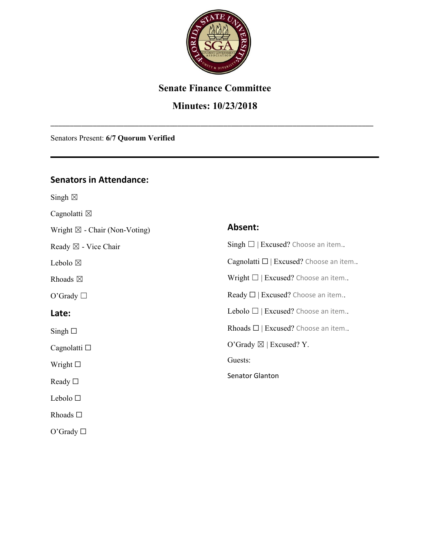

# **Senate Finance Committee**

# **Minutes: 10/23/2018**

\_\_\_\_\_\_\_\_\_\_\_\_\_\_\_\_\_\_\_\_\_\_\_\_\_\_\_\_\_\_\_\_\_\_\_\_\_\_\_\_\_\_\_\_\_\_\_\_\_\_\_\_\_\_\_\_\_\_\_\_\_\_\_\_\_\_\_\_\_\_\_\_\_\_\_\_\_\_\_\_\_\_\_\_

Senators Present: **6/7 Quorum Verified**

#### **Senators in Attendance:**

Singh  $\boxtimes$ 

O'Grady □

Cagnolatti  $\boxtimes$ Wright  $\boxtimes$  - Chair (Non-Voting) Ready ☒ - Vice Chair Lebolo  $\boxtimes$ Rhoads  $\boxtimes$ O'Grady □ **Late:**   $Singh \Box$ Cagnolatti □ Wright ☐ Ready ☐ Lebolo ☐ Rhoads ☐ **Absent:** Singh  $\Box$  | Excused? Choose an item.. Cagnolatti  $\Box$  | Excused? Choose an item.. Wright  $\Box$  | Excused? Choose an item.. Ready  $\Box$  | Excused? Choose an item.. Lebolo  $\Box$  | Excused? Choose an item.. Rhoads  $\Box$  | Excused? Choose an item.. O'Grady  $\boxtimes$  | Excused? Y. Guests: Senator Glanton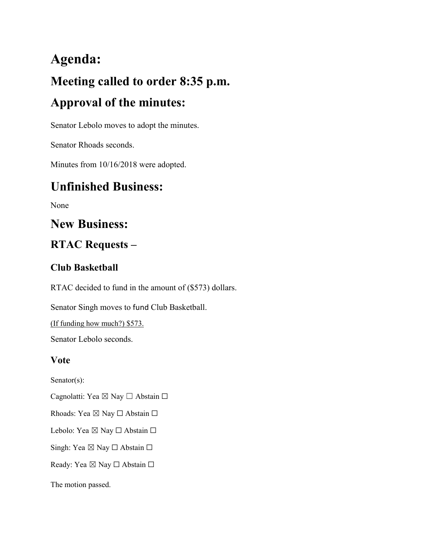# **Agenda: Meeting called to order 8:35 p.m. Approval of the minutes:**

Senator Lebolo moves to adopt the minutes.

Senator Rhoads seconds.

Minutes from 10/16/2018 were adopted.

# **Unfinished Business:**

None

# **New Business:**

# **RTAC Requests –**

# **Club Basketball**

RTAC decided to fund in the amount of (\$573) dollars.

Senator Singh moves to fund Club Basketball.

(If funding how much?) \$573.

Senator Lebolo seconds.

# **Vote**

Senator(s):

Cagnolatti: Yea ⊠ Nay □ Abstain □

Rhoads: Yea ⊠ Nay □ Abstain □

Lebolo: Yea ⊠ Nay □ Abstain □

Singh: Yea ⊠ Nay □ Abstain □

Ready: Yea ⊠ Nay □ Abstain □

The motion passed.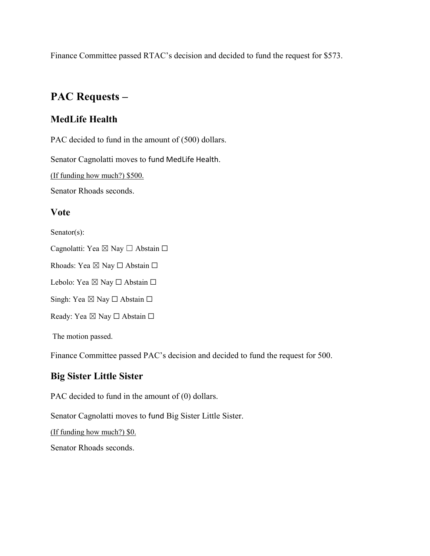Finance Committee passed RTAC's decision and decided to fund the request for \$573.

# **PAC Requests –**

# **MedLife Health**

PAC decided to fund in the amount of (500) dollars.

Senator Cagnolatti moves to fund MedLife Health.

(If funding how much?) \$500.

Senator Rhoads seconds.

### **Vote**

Senator(s):

Cagnolatti: Yea ⊠ Nay □ Abstain □

Rhoads: Yea ⊠ Nay □ Abstain □

Lebolo: Yea ⊠ Nay □ Abstain □

Singh: Yea ⊠ Nay □ Abstain □

Ready: Yea ⊠ Nay □ Abstain □

The motion passed.

Finance Committee passed PAC's decision and decided to fund the request for 500.

# **Big Sister Little Sister**

PAC decided to fund in the amount of (0) dollars.

Senator Cagnolatti moves to fund Big Sister Little Sister.

(If funding how much?) \$0.

Senator Rhoads seconds.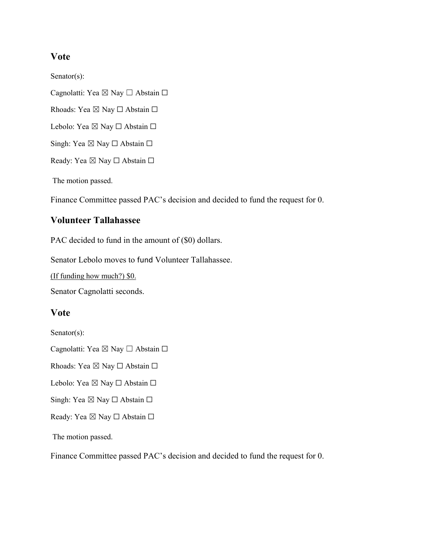#### **Vote**

Senator(s):

Cagnolatti: Yea ⊠ Nay □ Abstain □

Rhoads: Yea ⊠ Nay □ Abstain □

Lebolo: Yea ⊠ Nay □ Abstain □

Singh: Yea  $\boxtimes$  Nay  $\Box$  Abstain  $\Box$ 

Ready: Yea ⊠ Nay □ Abstain □

The motion passed.

Finance Committee passed PAC's decision and decided to fund the request for 0.

#### **Volunteer Tallahassee**

PAC decided to fund in the amount of (\$0) dollars.

Senator Lebolo moves to fund Volunteer Tallahassee.

(If funding how much?) \$0.

Senator Cagnolatti seconds.

#### **Vote**

Senator(s):

Cagnolatti: Yea ⊠ Nay □ Abstain □

Rhoads: Yea ⊠ Nay □ Abstain □

Lebolo: Yea ⊠ Nay □ Abstain □

Singh: Yea  $\boxtimes$  Nay  $\Box$  Abstain  $\Box$ 

Ready: Yea ⊠ Nay □ Abstain □

The motion passed.

Finance Committee passed PAC's decision and decided to fund the request for 0.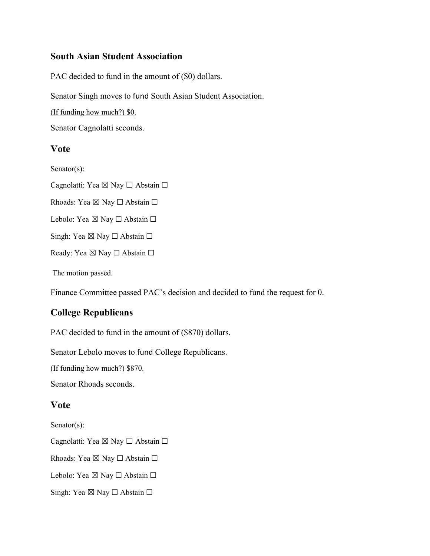#### **South Asian Student Association**

PAC decided to fund in the amount of (\$0) dollars.

Senator Singh moves to fund South Asian Student Association.

(If funding how much?) \$0.

Senator Cagnolatti seconds.

#### **Vote**

Senator(s):

Cagnolatti: Yea ⊠ Nay □ Abstain □

Rhoads: Yea ⊠ Nay □ Abstain □

Lebolo: Yea ⊠ Nay □ Abstain □

Singh: Yea  $\boxtimes$  Nay  $\Box$  Abstain  $\Box$ 

Ready: Yea ⊠ Nay □ Abstain □

The motion passed.

Finance Committee passed PAC's decision and decided to fund the request for 0.

# **College Republicans**

PAC decided to fund in the amount of (\$870) dollars.

Senator Lebolo moves to fund College Republicans.

(If funding how much?) \$870.

Senator Rhoads seconds.

#### **Vote**

Senator(s):

Cagnolatti: Yea ⊠ Nay □ Abstain □

Rhoads: Yea ⊠ Nay □ Abstain □

Lebolo: Yea ⊠ Nay □ Abstain □

Singh: Yea  $\boxtimes$  Nay  $\Box$  Abstain  $\Box$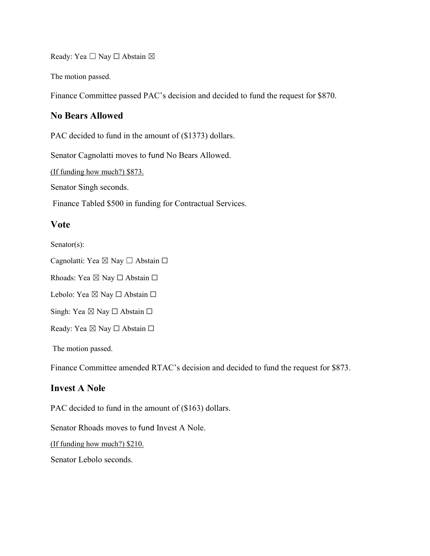Ready: Yea □ Nay □ Abstain ⊠

The motion passed.

Finance Committee passed PAC's decision and decided to fund the request for \$870.

#### **No Bears Allowed**

PAC decided to fund in the amount of (\$1373) dollars.

Senator Cagnolatti moves to fund No Bears Allowed.

(If funding how much?) \$873.

Senator Singh seconds.

Finance Tabled \$500 in funding for Contractual Services.

#### **Vote**

Senator(s):

Cagnolatti: Yea ⊠ Nay □ Abstain □

Rhoads: Yea ⊠ Nay □ Abstain □

Lebolo: Yea ⊠ Nay □ Abstain □

Singh: Yea ⊠ Nay □ Abstain □

Ready: Yea ⊠ Nay □ Abstain □

The motion passed.

Finance Committee amended RTAC's decision and decided to fund the request for \$873.

#### **Invest A Nole**

PAC decided to fund in the amount of (\$163) dollars.

Senator Rhoads moves to fund Invest A Nole.

(If funding how much?) \$210.

Senator Lebolo seconds.